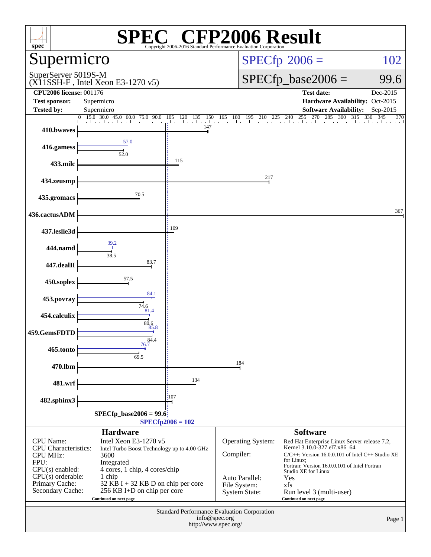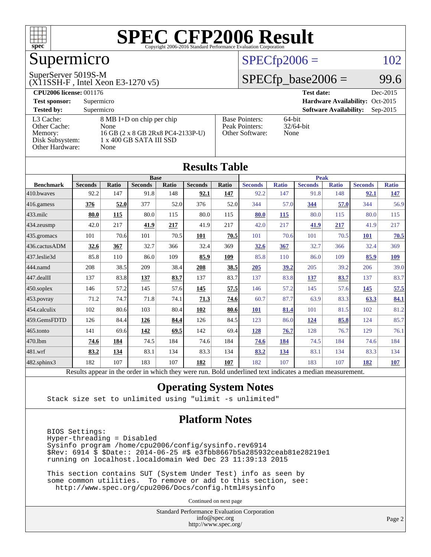

# Supermicro

#### SuperServer 5019S-M

(X11SSH-F , Intel Xeon E3-1270 v5)

#### $SPECfp2006 = 102$  $SPECfp2006 = 102$

#### $SPECTp\_base2006 = 99.6$

| <b>CPU2006 license: 001176</b> |                                   |                       | <b>Test date:</b><br>Dec-2015               |  |  |  |
|--------------------------------|-----------------------------------|-----------------------|---------------------------------------------|--|--|--|
| <b>Test sponsor:</b>           | Supermicro                        |                       | Hardware Availability: Oct-2015             |  |  |  |
| <b>Tested by:</b>              | Supermicro                        |                       | <b>Software Availability:</b><br>$Sep-2015$ |  |  |  |
| L3 Cache:                      | 8 MB I+D on chip per chip         | <b>Base Pointers:</b> | $64$ -bit                                   |  |  |  |
| Other Cache:                   | None                              | Peak Pointers:        | $32/64$ -bit                                |  |  |  |
| Memory:                        | 16 GB (2 x 8 GB 2Rx8 PC4-2133P-U) | Other Software:       | None                                        |  |  |  |
| Disk Subsystem:                | 1 x 400 GB SATA III SSD           |                       |                                             |  |  |  |
| <b>Other Hardware:</b>         | None                              |                       |                                             |  |  |  |

**[Results Table](http://www.spec.org/auto/cpu2006/Docs/result-fields.html#ResultsTable)**

| Results Table    |                                                                                                          |       |                |       |                |       |                |              |                |              |                |              |
|------------------|----------------------------------------------------------------------------------------------------------|-------|----------------|-------|----------------|-------|----------------|--------------|----------------|--------------|----------------|--------------|
|                  | <b>Base</b>                                                                                              |       |                |       |                |       | <b>Peak</b>    |              |                |              |                |              |
| <b>Benchmark</b> | <b>Seconds</b>                                                                                           | Ratio | <b>Seconds</b> | Ratio | <b>Seconds</b> | Ratio | <b>Seconds</b> | <b>Ratio</b> | <b>Seconds</b> | <b>Ratio</b> | <b>Seconds</b> | <b>Ratio</b> |
| 410.bwayes       | 92.2                                                                                                     | 147   | 91.8           | 148   | 92.1           | 147   | 92.2           | 147          | 91.8           | 148          | 92.1           | <u>147</u>   |
| 416.gamess       | 376                                                                                                      | 52.0  | 377            | 52.0  | 376            | 52.0  | 344            | 57.0         | 344            | 57.0         | 344            | 56.9         |
| $433$ .milc      | 80.0                                                                                                     | 115   | 80.0           | 115   | 80.0           | 115   | 80.0           | 115          | 80.0           | 115          | 80.0           | 115          |
| 434.zeusmp       | 42.0                                                                                                     | 217   | 41.9           | 217   | 41.9           | 217   | 42.0           | 217          | 41.9           | 217          | 41.9           | 217          |
| 435.gromacs      | 101                                                                                                      | 70.6  | 101            | 70.5  | 101            | 70.5  | 101            | 70.6         | 101            | 70.5         | <b>101</b>     | 70.5         |
| 436.cactusADM    | 32.6                                                                                                     | 367   | 32.7           | 366   | 32.4           | 369   | 32.6           | 367          | 32.7           | 366          | 32.4           | 369          |
| 437.leslie3d     | 85.8                                                                                                     | 110   | 86.0           | 109   | 85.9           | 109   | 85.8           | 110          | 86.0           | 109          | 85.9           | <u>109</u>   |
| 444.namd         | 208                                                                                                      | 38.5  | 209            | 38.4  | 208            | 38.5  | 205            | 39.2         | 205            | 39.2         | 206            | 39.0         |
| 447.dealII       | 137                                                                                                      | 83.8  | 137            | 83.7  | 137            | 83.7  | 137            | 83.8         | 137            | 83.7         | 137            | 83.7         |
| $450$ .soplex    | 146                                                                                                      | 57.2  | 145            | 57.6  | 145            | 57.5  | 146            | 57.2         | 145            | 57.6         | 145            | 57.5         |
| 453.povray       | 71.2                                                                                                     | 74.7  | 71.8           | 74.1  | 71.3           | 74.6  | 60.7           | 87.7         | 63.9           | 83.3         | 63.3           | 84.1         |
| 454.calculix     | 102                                                                                                      | 80.6  | 103            | 80.4  | 102            | 80.6  | 101            | 81.4         | 101            | 81.5         | 102            | 81.2         |
| 459.GemsFDTD     | 126                                                                                                      | 84.4  | 126            | 84.4  | 126            | 84.5  | 123            | 86.0         | 124            | 85.8         | 124            | 85.7         |
| 465.tonto        | 141                                                                                                      | 69.6  | 142            | 69.5  | 142            | 69.4  | 128            | 76.7         | 128            | 76.7         | 129            | 76.1         |
| 470.1bm          | 74.6                                                                                                     | 184   | 74.5           | 184   | 74.6           | 184   | 74.6           | 184          | 74.5           | 184          | 74.6           | 184          |
| 481.wrf          | 83.2                                                                                                     | 134   | 83.1           | 134   | 83.3           | 134   | 83.2           | 134          | 83.1           | 134          | 83.3           | 134          |
| 482.sphinx3      | 182                                                                                                      | 107   | 183            | 107   | 182            | 107   | 182            | 107          | 183            | 107          | 182            | 107          |
|                  | Results appear in the order in which they were run. Bold underlined text indicates a median measurement. |       |                |       |                |       |                |              |                |              |                |              |

#### **[Operating System Notes](http://www.spec.org/auto/cpu2006/Docs/result-fields.html#OperatingSystemNotes)**

Stack size set to unlimited using "ulimit -s unlimited"

#### **[Platform Notes](http://www.spec.org/auto/cpu2006/Docs/result-fields.html#PlatformNotes)**

 BIOS Settings: Hyper-threading = Disabled Sysinfo program /home/cpu2006/config/sysinfo.rev6914 \$Rev: 6914 \$ \$Date:: 2014-06-25 #\$ e3fbb8667b5a285932ceab81e28219e1 running on localhost.localdomain Wed Dec 23 11:39:13 2015

 This section contains SUT (System Under Test) info as seen by some common utilities. To remove or add to this section, see: <http://www.spec.org/cpu2006/Docs/config.html#sysinfo>

Continued on next page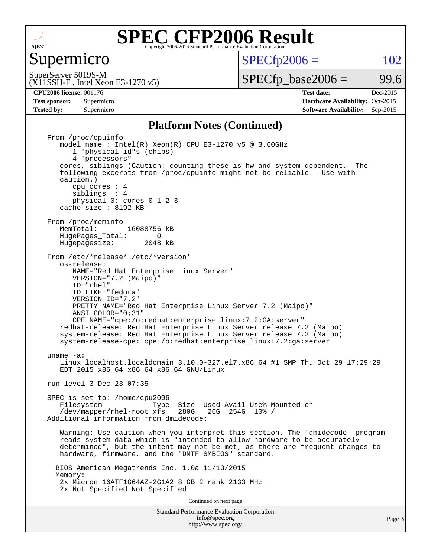

Supermicro

 $SPECTp2006 = 102$ 

(X11SSH-F , Intel Xeon E3-1270 v5) SuperServer 5019S-M

 $SPECTp\_base2006 =$  99.6

**[CPU2006 license:](http://www.spec.org/auto/cpu2006/Docs/result-fields.html#CPU2006license)** 001176 **[Test date:](http://www.spec.org/auto/cpu2006/Docs/result-fields.html#Testdate)** Dec-2015 **[Test sponsor:](http://www.spec.org/auto/cpu2006/Docs/result-fields.html#Testsponsor)** Supermicro Supermicro **[Hardware Availability:](http://www.spec.org/auto/cpu2006/Docs/result-fields.html#HardwareAvailability)** Oct-2015 **[Tested by:](http://www.spec.org/auto/cpu2006/Docs/result-fields.html#Testedby)** Supermicro **Supermicro [Software Availability:](http://www.spec.org/auto/cpu2006/Docs/result-fields.html#SoftwareAvailability)** Sep-2015

#### **[Platform Notes \(Continued\)](http://www.spec.org/auto/cpu2006/Docs/result-fields.html#PlatformNotes)**

Standard Performance Evaluation Corporation [info@spec.org](mailto:info@spec.org) From /proc/cpuinfo model name : Intel(R) Xeon(R) CPU E3-1270 v5 @ 3.60GHz 1 "physical id"s (chips) 4 "processors" cores, siblings (Caution: counting these is hw and system dependent. The following excerpts from /proc/cpuinfo might not be reliable. Use with caution.) cpu cores : 4 siblings : 4 physical 0: cores 0 1 2 3 cache size : 8192 KB From /proc/meminfo<br>MemTotal: 16088756 kB HugePages\_Total: 0<br>Hugepagesize: 2048 kB Hugepagesize: From /etc/\*release\* /etc/\*version\* os-release: NAME="Red Hat Enterprise Linux Server" VERSION="7.2 (Maipo)" ID="rhel" ID\_LIKE="fedora" VERSION\_ID="7.2" PRETTY NAME="Red Hat Enterprise Linux Server 7.2 (Maipo)" ANSI\_COLOR="0;31" CPE\_NAME="cpe:/o:redhat:enterprise\_linux:7.2:GA:server" redhat-release: Red Hat Enterprise Linux Server release 7.2 (Maipo) system-release: Red Hat Enterprise Linux Server release 7.2 (Maipo) system-release-cpe: cpe:/o:redhat:enterprise\_linux:7.2:ga:server uname -a: Linux localhost.localdomain 3.10.0-327.el7.x86\_64 #1 SMP Thu Oct 29 17:29:29 EDT 2015 x86\_64 x86\_64 x86\_64 GNU/Linux run-level 3 Dec 23 07:35 SPEC is set to: /home/cpu2006 Type Size Used Avail Use% Mounted on /dev/mapper/rhel-root xfs 280G 26G 254G 10% / Additional information from dmidecode: Warning: Use caution when you interpret this section. The 'dmidecode' program reads system data which is "intended to allow hardware to be accurately determined", but the intent may not be met, as there are frequent changes to hardware, firmware, and the "DMTF SMBIOS" standard. BIOS American Megatrends Inc. 1.0a 11/13/2015 Memory: 2x Micron 16ATF1G64AZ-2G1A2 8 GB 2 rank 2133 MHz 2x Not Specified Not Specified Continued on next page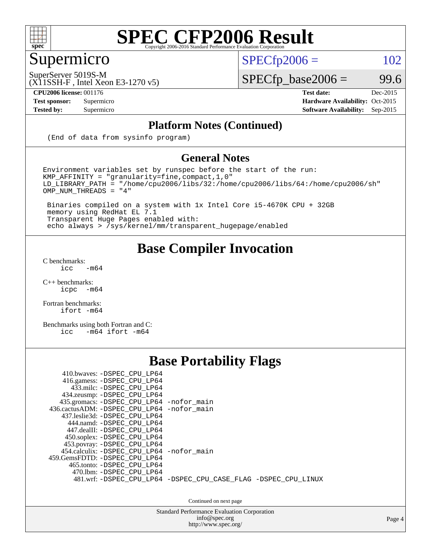

## Supermicro

 $SPECTp2006 = 102$ 

SuperServer 5019S-M

 $SPECfp\_base2006 = 99.6$ 

(X11SSH-F , Intel Xeon E3-1270 v5) **[CPU2006 license:](http://www.spec.org/auto/cpu2006/Docs/result-fields.html#CPU2006license)** 001176 **[Test date:](http://www.spec.org/auto/cpu2006/Docs/result-fields.html#Testdate)** Dec-2015

**[Test sponsor:](http://www.spec.org/auto/cpu2006/Docs/result-fields.html#Testsponsor)** Supermicro Supermicro **[Hardware Availability:](http://www.spec.org/auto/cpu2006/Docs/result-fields.html#HardwareAvailability)** Oct-2015 **[Tested by:](http://www.spec.org/auto/cpu2006/Docs/result-fields.html#Testedby)** Supermicro **Supermicro [Software Availability:](http://www.spec.org/auto/cpu2006/Docs/result-fields.html#SoftwareAvailability)** Sep-2015

#### **[Platform Notes \(Continued\)](http://www.spec.org/auto/cpu2006/Docs/result-fields.html#PlatformNotes)**

(End of data from sysinfo program)

#### **[General Notes](http://www.spec.org/auto/cpu2006/Docs/result-fields.html#GeneralNotes)**

Environment variables set by runspec before the start of the run:  $KMP_A$ FFINITY = "granularity=fine, compact, 1, 0" LD\_LIBRARY\_PATH = "/home/cpu2006/libs/32:/home/cpu2006/libs/64:/home/cpu2006/sh" OMP\_NUM\_THREADS = "4"

 Binaries compiled on a system with 1x Intel Core i5-4670K CPU + 32GB memory using RedHat EL 7.1 Transparent Huge Pages enabled with: echo always > /sys/kernel/mm/transparent\_hugepage/enabled

#### **[Base Compiler Invocation](http://www.spec.org/auto/cpu2006/Docs/result-fields.html#BaseCompilerInvocation)**

[C benchmarks](http://www.spec.org/auto/cpu2006/Docs/result-fields.html#Cbenchmarks):  $\text{icc}$  -m64

 $C++$  benchmarks:<br>icpc  $-m$ -m64

[Fortran benchmarks](http://www.spec.org/auto/cpu2006/Docs/result-fields.html#Fortranbenchmarks): [ifort -m64](http://www.spec.org/cpu2006/results/res2016q1/cpu2006-20151225-38528.flags.html#user_FCbase_intel_ifort_64bit_ee9d0fb25645d0210d97eb0527dcc06e)

[Benchmarks using both Fortran and C](http://www.spec.org/auto/cpu2006/Docs/result-fields.html#BenchmarksusingbothFortranandC): [icc -m64](http://www.spec.org/cpu2006/results/res2016q1/cpu2006-20151225-38528.flags.html#user_CC_FCbase_intel_icc_64bit_0b7121f5ab7cfabee23d88897260401c) [ifort -m64](http://www.spec.org/cpu2006/results/res2016q1/cpu2006-20151225-38528.flags.html#user_CC_FCbase_intel_ifort_64bit_ee9d0fb25645d0210d97eb0527dcc06e)

#### **[Base Portability Flags](http://www.spec.org/auto/cpu2006/Docs/result-fields.html#BasePortabilityFlags)**

| 410.bwaves: -DSPEC CPU LP64<br>416.gamess: -DSPEC CPU LP64<br>433.milc: -DSPEC_CPU_LP64<br>434.zeusmp: -DSPEC_CPU_LP64<br>435.gromacs: -DSPEC_CPU_LP64 -nofor_main<br>436.cactusADM: -DSPEC CPU LP64 -nofor main<br>437.leslie3d: -DSPEC CPU LP64<br>444.namd: -DSPEC CPU LP64<br>447.dealII: -DSPEC CPU LP64 |                                                                |
|---------------------------------------------------------------------------------------------------------------------------------------------------------------------------------------------------------------------------------------------------------------------------------------------------------------|----------------------------------------------------------------|
| 450.soplex: -DSPEC_CPU_LP64<br>453.povray: -DSPEC_CPU_LP64<br>454.calculix: -DSPEC CPU LP64 -nofor main<br>459.GemsFDTD: -DSPEC CPU LP64<br>465.tonto: -DSPEC CPU LP64<br>470.1bm: - DSPEC CPU LP64                                                                                                           |                                                                |
|                                                                                                                                                                                                                                                                                                               | 481.wrf: -DSPEC CPU_LP64 -DSPEC_CPU_CASE_FLAG -DSPEC_CPU_LINUX |

Continued on next page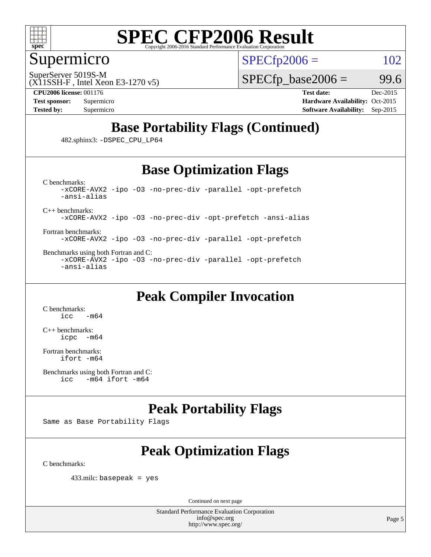

#### Supermicro

SuperServer 5019S-M

 $SPECTp2006 = 102$ 

(X11SSH-F , Intel Xeon E3-1270 v5)

 $SPECTp\_base2006 = 99.6$ 

**[CPU2006 license:](http://www.spec.org/auto/cpu2006/Docs/result-fields.html#CPU2006license)** 001176 **[Test date:](http://www.spec.org/auto/cpu2006/Docs/result-fields.html#Testdate)** Dec-2015

**[Test sponsor:](http://www.spec.org/auto/cpu2006/Docs/result-fields.html#Testsponsor)** Supermicro Supermicro **[Hardware Availability:](http://www.spec.org/auto/cpu2006/Docs/result-fields.html#HardwareAvailability)** Oct-2015 **[Tested by:](http://www.spec.org/auto/cpu2006/Docs/result-fields.html#Testedby)** Supermicro **Supermicro [Software Availability:](http://www.spec.org/auto/cpu2006/Docs/result-fields.html#SoftwareAvailability)** Sep-2015

### **[Base Portability Flags \(Continued\)](http://www.spec.org/auto/cpu2006/Docs/result-fields.html#BasePortabilityFlags)**

482.sphinx3: [-DSPEC\\_CPU\\_LP64](http://www.spec.org/cpu2006/results/res2016q1/cpu2006-20151225-38528.flags.html#suite_basePORTABILITY482_sphinx3_DSPEC_CPU_LP64)

#### **[Base Optimization Flags](http://www.spec.org/auto/cpu2006/Docs/result-fields.html#BaseOptimizationFlags)**

[C benchmarks](http://www.spec.org/auto/cpu2006/Docs/result-fields.html#Cbenchmarks): [-xCORE-AVX2](http://www.spec.org/cpu2006/results/res2016q1/cpu2006-20151225-38528.flags.html#user_CCbase_f-xAVX2_5f5fc0cbe2c9f62c816d3e45806c70d7) [-ipo](http://www.spec.org/cpu2006/results/res2016q1/cpu2006-20151225-38528.flags.html#user_CCbase_f-ipo) [-O3](http://www.spec.org/cpu2006/results/res2016q1/cpu2006-20151225-38528.flags.html#user_CCbase_f-O3) [-no-prec-div](http://www.spec.org/cpu2006/results/res2016q1/cpu2006-20151225-38528.flags.html#user_CCbase_f-no-prec-div) [-parallel](http://www.spec.org/cpu2006/results/res2016q1/cpu2006-20151225-38528.flags.html#user_CCbase_f-parallel) [-opt-prefetch](http://www.spec.org/cpu2006/results/res2016q1/cpu2006-20151225-38528.flags.html#user_CCbase_f-opt-prefetch) [-ansi-alias](http://www.spec.org/cpu2006/results/res2016q1/cpu2006-20151225-38528.flags.html#user_CCbase_f-ansi-alias)

[C++ benchmarks:](http://www.spec.org/auto/cpu2006/Docs/result-fields.html#CXXbenchmarks)

[-xCORE-AVX2](http://www.spec.org/cpu2006/results/res2016q1/cpu2006-20151225-38528.flags.html#user_CXXbase_f-xAVX2_5f5fc0cbe2c9f62c816d3e45806c70d7) [-ipo](http://www.spec.org/cpu2006/results/res2016q1/cpu2006-20151225-38528.flags.html#user_CXXbase_f-ipo) [-O3](http://www.spec.org/cpu2006/results/res2016q1/cpu2006-20151225-38528.flags.html#user_CXXbase_f-O3) [-no-prec-div](http://www.spec.org/cpu2006/results/res2016q1/cpu2006-20151225-38528.flags.html#user_CXXbase_f-no-prec-div) [-opt-prefetch](http://www.spec.org/cpu2006/results/res2016q1/cpu2006-20151225-38528.flags.html#user_CXXbase_f-opt-prefetch) [-ansi-alias](http://www.spec.org/cpu2006/results/res2016q1/cpu2006-20151225-38528.flags.html#user_CXXbase_f-ansi-alias)

[Fortran benchmarks](http://www.spec.org/auto/cpu2006/Docs/result-fields.html#Fortranbenchmarks): [-xCORE-AVX2](http://www.spec.org/cpu2006/results/res2016q1/cpu2006-20151225-38528.flags.html#user_FCbase_f-xAVX2_5f5fc0cbe2c9f62c816d3e45806c70d7) [-ipo](http://www.spec.org/cpu2006/results/res2016q1/cpu2006-20151225-38528.flags.html#user_FCbase_f-ipo) [-O3](http://www.spec.org/cpu2006/results/res2016q1/cpu2006-20151225-38528.flags.html#user_FCbase_f-O3) [-no-prec-div](http://www.spec.org/cpu2006/results/res2016q1/cpu2006-20151225-38528.flags.html#user_FCbase_f-no-prec-div) [-parallel](http://www.spec.org/cpu2006/results/res2016q1/cpu2006-20151225-38528.flags.html#user_FCbase_f-parallel) [-opt-prefetch](http://www.spec.org/cpu2006/results/res2016q1/cpu2006-20151225-38528.flags.html#user_FCbase_f-opt-prefetch)

[Benchmarks using both Fortran and C](http://www.spec.org/auto/cpu2006/Docs/result-fields.html#BenchmarksusingbothFortranandC): [-xCORE-AVX2](http://www.spec.org/cpu2006/results/res2016q1/cpu2006-20151225-38528.flags.html#user_CC_FCbase_f-xAVX2_5f5fc0cbe2c9f62c816d3e45806c70d7) [-ipo](http://www.spec.org/cpu2006/results/res2016q1/cpu2006-20151225-38528.flags.html#user_CC_FCbase_f-ipo) [-O3](http://www.spec.org/cpu2006/results/res2016q1/cpu2006-20151225-38528.flags.html#user_CC_FCbase_f-O3) [-no-prec-div](http://www.spec.org/cpu2006/results/res2016q1/cpu2006-20151225-38528.flags.html#user_CC_FCbase_f-no-prec-div) [-parallel](http://www.spec.org/cpu2006/results/res2016q1/cpu2006-20151225-38528.flags.html#user_CC_FCbase_f-parallel) [-opt-prefetch](http://www.spec.org/cpu2006/results/res2016q1/cpu2006-20151225-38528.flags.html#user_CC_FCbase_f-opt-prefetch) [-ansi-alias](http://www.spec.org/cpu2006/results/res2016q1/cpu2006-20151225-38528.flags.html#user_CC_FCbase_f-ansi-alias)

### **[Peak Compiler Invocation](http://www.spec.org/auto/cpu2006/Docs/result-fields.html#PeakCompilerInvocation)**

[C benchmarks](http://www.spec.org/auto/cpu2006/Docs/result-fields.html#Cbenchmarks):  $-m64$ 

[C++ benchmarks:](http://www.spec.org/auto/cpu2006/Docs/result-fields.html#CXXbenchmarks) [icpc -m64](http://www.spec.org/cpu2006/results/res2016q1/cpu2006-20151225-38528.flags.html#user_CXXpeak_intel_icpc_64bit_bedb90c1146cab66620883ef4f41a67e)

[Fortran benchmarks](http://www.spec.org/auto/cpu2006/Docs/result-fields.html#Fortranbenchmarks): [ifort -m64](http://www.spec.org/cpu2006/results/res2016q1/cpu2006-20151225-38528.flags.html#user_FCpeak_intel_ifort_64bit_ee9d0fb25645d0210d97eb0527dcc06e)

```
Benchmarks using both Fortran and C: 
     icc -m64 ifort -m64
```
### **[Peak Portability Flags](http://www.spec.org/auto/cpu2006/Docs/result-fields.html#PeakPortabilityFlags)**

Same as Base Portability Flags

## **[Peak Optimization Flags](http://www.spec.org/auto/cpu2006/Docs/result-fields.html#PeakOptimizationFlags)**

[C benchmarks](http://www.spec.org/auto/cpu2006/Docs/result-fields.html#Cbenchmarks):

433.milc: basepeak = yes

Continued on next page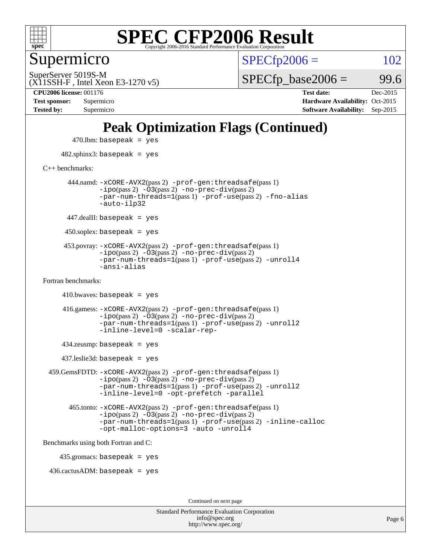

Supermicro

 $SPECTp2006 = 102$ 

(X11SSH-F , Intel Xeon E3-1270 v5) SuperServer 5019S-M

 $SPECTp\_base2006 =$  99.6

**[CPU2006 license:](http://www.spec.org/auto/cpu2006/Docs/result-fields.html#CPU2006license)** 001176 **[Test date:](http://www.spec.org/auto/cpu2006/Docs/result-fields.html#Testdate)** Dec-2015 **[Test sponsor:](http://www.spec.org/auto/cpu2006/Docs/result-fields.html#Testsponsor)** Supermicro **[Hardware Availability:](http://www.spec.org/auto/cpu2006/Docs/result-fields.html#HardwareAvailability)** Oct-2015 **[Tested by:](http://www.spec.org/auto/cpu2006/Docs/result-fields.html#Testedby)** Supermicro **[Software Availability:](http://www.spec.org/auto/cpu2006/Docs/result-fields.html#SoftwareAvailability)** Sep-2015

### **[Peak Optimization Flags \(Continued\)](http://www.spec.org/auto/cpu2006/Docs/result-fields.html#PeakOptimizationFlags)**

```
470.lbm: basepeak = yes
     482.sphinx3: basepeak = yes
C++ benchmarks: 
       444.namd: -xCORE-AVX2(pass 2) -prof-gen:threadsafe(pass 1)
               -no-prec-div(pass 2)-par-num-threads=1(pass 1) -prof-use(pass 2) -fno-alias
               -auto-ilp32
      447.dealII: basepeak = yes
      450.soplex: basepeak = yes
      453.povray: -xCORE-AVX2(pass 2) -prof-gen:threadsafe(pass 1)
               -ipo(pass 2) -03(pass 2) -no-prec-div(pass 2)-par-num-threads=1(pass 1) -prof-use(pass 2) -unroll4
               -ansi-alias
Fortran benchmarks: 
     410.bwaves: basepeak = yes 416.gamess: -xCORE-AVX2(pass 2) -prof-gen:threadsafe(pass 1)
               -i\text{po}(pass 2) -\tilde{O}3(pass 2) -no-prec-div(pass 2)-par-num-threads=1(pass 1) -prof-use(pass 2) -unroll2
               -inline-level=0 -scalar-rep-
      434.zeusmp: basepeak = yes
     437.leslie3d: basepeak = yes
  459.GemsFDTD: -xCORE-AVX2(pass 2) -prof-gen:threadsafe(pass 1)
               -no-prec-div(pass 2)-par-num-threads=1(pass 1) -prof-use(pass 2) -unroll2
               -inline-level=0 -opt-prefetch -parallel
        465.tonto: -xCORE-AVX2(pass 2) -prof-gen:threadsafe(pass 1)
               -i\text{po}(pass 2) -\overline{O}3(pass 2)-no-prec-div(pass 2)
               -par-num-threads=1(pass 1) -prof-use(pass 2) -inline-calloc
               -opt-malloc-options=3 -auto -unroll4
Benchmarks using both Fortran and C: 
     435.gromacs: basepeak = yes
  436.cactusADM: basepeak = yes
                                        Continued on next page
```